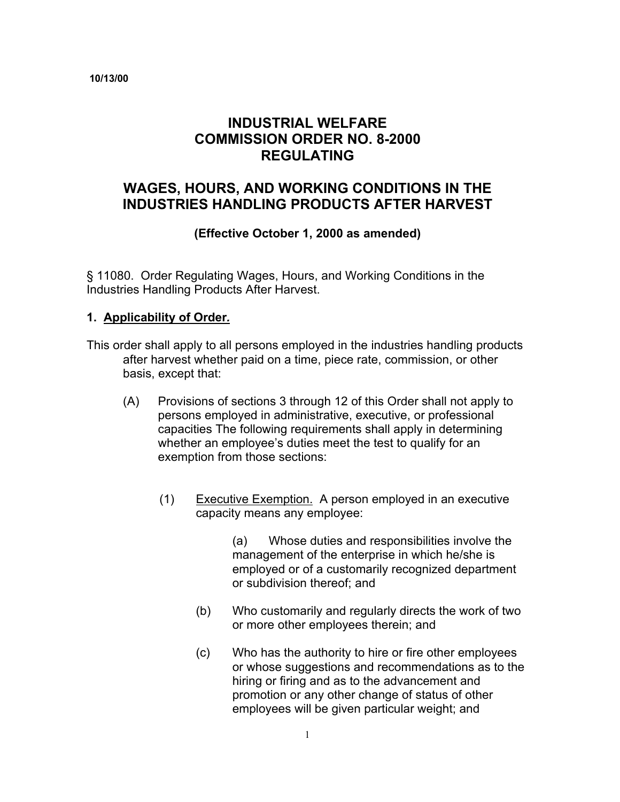# **INDUSTRIAL WELFARE COMMISSION ORDER NO. 8-2000 REGULATING**

# **WAGES, HOURS, AND WORKING CONDITIONS IN THE INDUSTRIES HANDLING PRODUCTS AFTER HARVEST**

# **(Effective October 1, 2000 as amended)**

§ 11080. Order Regulating Wages, Hours, and Working Conditions in the Industries Handling Products After Harvest.

### **1. Applicability of Order***.*

This order shall apply to all persons employed in the industries handling products after harvest whether paid on a time, piece rate, commission, or other basis, except that:

- (A) Provisions of sections 3 through 12 of this Order shall not apply to persons employed in administrative, executive, or professional capacities The following requirements shall apply in determining whether an employee's duties meet the test to qualify for an exemption from those sections:
	- (1) Executive Exemption. A person employed in an executive capacity means any employee:

(a) Whose duties and responsibilities involve the management of the enterprise in which he/she is employed or of a customarily recognized department or subdivision thereof; and

- (b) Who customarily and regularly directs the work of two or more other employees therein; and
- (c) Who has the authority to hire or fire other employees or whose suggestions and recommendations as to the hiring or firing and as to the advancement and promotion or any other change of status of other employees will be given particular weight; and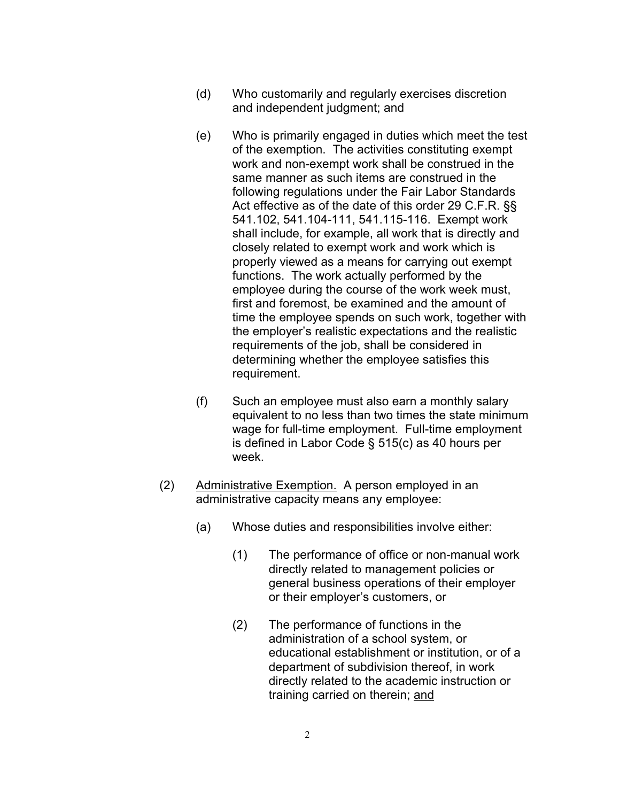- (d) Who customarily and regularly exercises discretion and independent judgment; and
- (e) Who is primarily engaged in duties which meet the test of the exemption. The activities constituting exempt work and non-exempt work shall be construed in the same manner as such items are construed in the following regulations under the Fair Labor Standards Act effective as of the date of this order 29 C.F.R. §§ 541.102, 541.104-111, 541.115-116. Exempt work shall include, for example, all work that is directly and closely related to exempt work and work which is properly viewed as a means for carrying out exempt functions. The work actually performed by the employee during the course of the work week must, first and foremost, be examined and the amount of time the employee spends on such work, together with the employer's realistic expectations and the realistic requirements of the job, shall be considered in determining whether the employee satisfies this requirement.
- (f) Such an employee must also earn a monthly salary equivalent to no less than two times the state minimum wage for full-time employment. Full-time employment is defined in Labor Code § 515(c) as 40 hours per week.
- (2) Administrative Exemption. A person employed in an administrative capacity means any employee:
	- (a) Whose duties and responsibilities involve either:
		- (1) The performance of office or non-manual work directly related to management policies or general business operations of their employer or their employer's customers, or
		- (2) The performance of functions in the administration of a school system, or educational establishment or institution, or of a department of subdivision thereof, in work directly related to the academic instruction or training carried on therein; and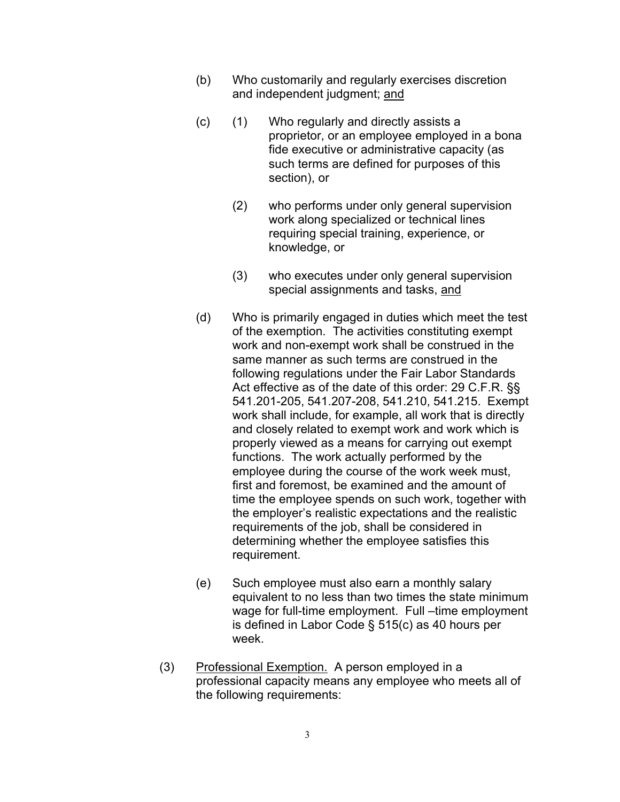- (b) Who customarily and regularly exercises discretion and independent judgment; and
- (c) (1) Who regularly and directly assists a proprietor, or an employee employed in a bona fide executive or administrative capacity (as such terms are defined for purposes of this section), or
	- (2) who performs under only general supervision work along specialized or technical lines requiring special training, experience, or knowledge, or
	- (3) who executes under only general supervision special assignments and tasks, and
- (d) Who is primarily engaged in duties which meet the test of the exemption. The activities constituting exempt work and non-exempt work shall be construed in the same manner as such terms are construed in the following regulations under the Fair Labor Standards Act effective as of the date of this order: 29 C.F.R. §§ 541.201-205, 541.207-208, 541.210, 541.215. Exempt work shall include, for example, all work that is directly and closely related to exempt work and work which is properly viewed as a means for carrying out exempt functions. The work actually performed by the employee during the course of the work week must, first and foremost, be examined and the amount of time the employee spends on such work, together with the employer's realistic expectations and the realistic requirements of the job, shall be considered in determining whether the employee satisfies this requirement.
- (e) Such employee must also earn a monthly salary equivalent to no less than two times the state minimum wage for full-time employment. Full –time employment is defined in Labor Code § 515(c) as 40 hours per week.
- (3) Professional Exemption. A person employed in a professional capacity means any employee who meets all of the following requirements: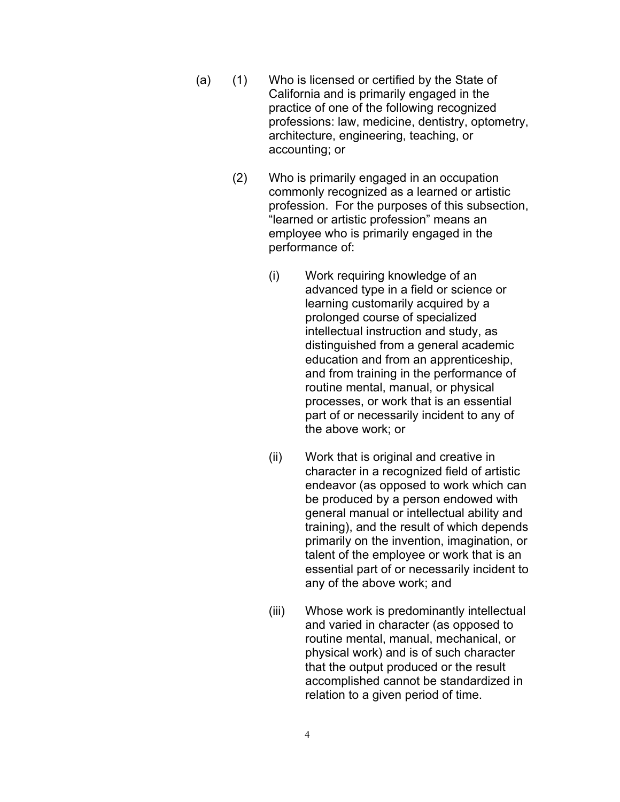- (a) (1) Who is licensed or certified by the State of California and is primarily engaged in the practice of one of the following recognized professions: law, medicine, dentistry, optometry, architecture, engineering, teaching, or accounting; or
	- (2) Who is primarily engaged in an occupation commonly recognized as a learned or artistic profession. For the purposes of this subsection, "learned or artistic profession" means an employee who is primarily engaged in the performance of:
		- (i) Work requiring knowledge of an advanced type in a field or science or learning customarily acquired by a prolonged course of specialized intellectual instruction and study, as distinguished from a general academic education and from an apprenticeship, and from training in the performance of routine mental, manual, or physical processes, or work that is an essential part of or necessarily incident to any of the above work; or
		- (ii) Work that is original and creative in character in a recognized field of artistic endeavor (as opposed to work which can be produced by a person endowed with general manual or intellectual ability and training), and the result of which depends primarily on the invention, imagination, or talent of the employee or work that is an essential part of or necessarily incident to any of the above work; and
		- (iii) Whose work is predominantly intellectual and varied in character (as opposed to routine mental, manual, mechanical, or physical work) and is of such character that the output produced or the result accomplished cannot be standardized in relation to a given period of time.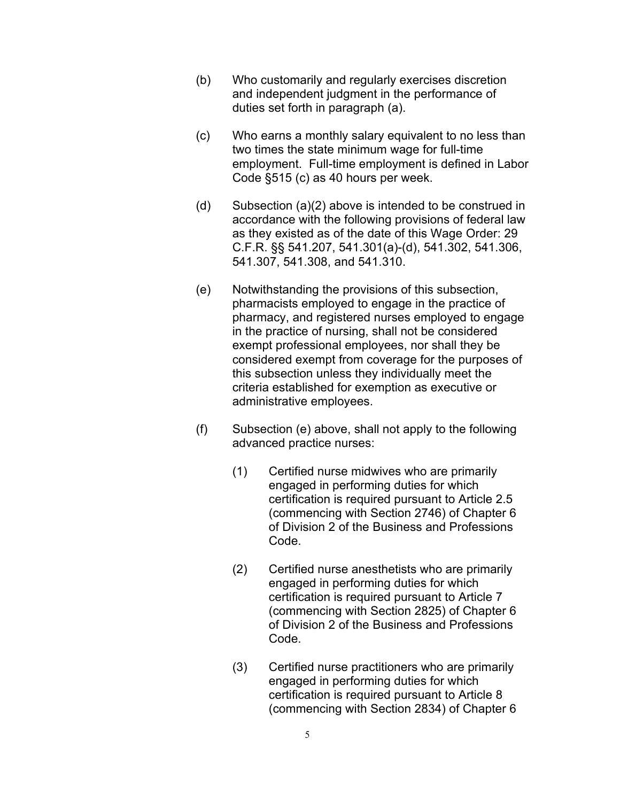- (b) Who customarily and regularly exercises discretion and independent judgment in the performance of duties set forth in paragraph (a).
- (c) Who earns a monthly salary equivalent to no less than two times the state minimum wage for full-time employment. Full-time employment is defined in Labor Code §515 (c) as 40 hours per week.
- (d) Subsection  $(a)(2)$  above is intended to be construed in accordance with the following provisions of federal law as they existed as of the date of this Wage Order: 29 C.F.R. §§ 541.207, 541.301(a)-(d), 541.302, 541.306, 541.307, 541.308, and 541.310.
- (e) Notwithstanding the provisions of this subsection, pharmacists employed to engage in the practice of pharmacy, and registered nurses employed to engage in the practice of nursing, shall not be considered exempt professional employees, nor shall they be considered exempt from coverage for the purposes of this subsection unless they individually meet the criteria established for exemption as executive or administrative employees.
- $(f)$  Subsection (e) above, shall not apply to the following advanced practice nurses:
	- (1) Certified nurse midwives who are primarily engaged in performing duties for which certification is required pursuant to Article 2.5 (commencing with Section 2746) of Chapter 6 of Division 2 of the Business and Professions Code.
	- (2) Certified nurse anesthetists who are primarily engaged in performing duties for which certification is required pursuant to Article 7 (commencing with Section 2825) of Chapter 6 of Division 2 of the Business and Professions Code.
	- (3) Certified nurse practitioners who are primarily engaged in performing duties for which certification is required pursuant to Article 8 (commencing with Section 2834) of Chapter 6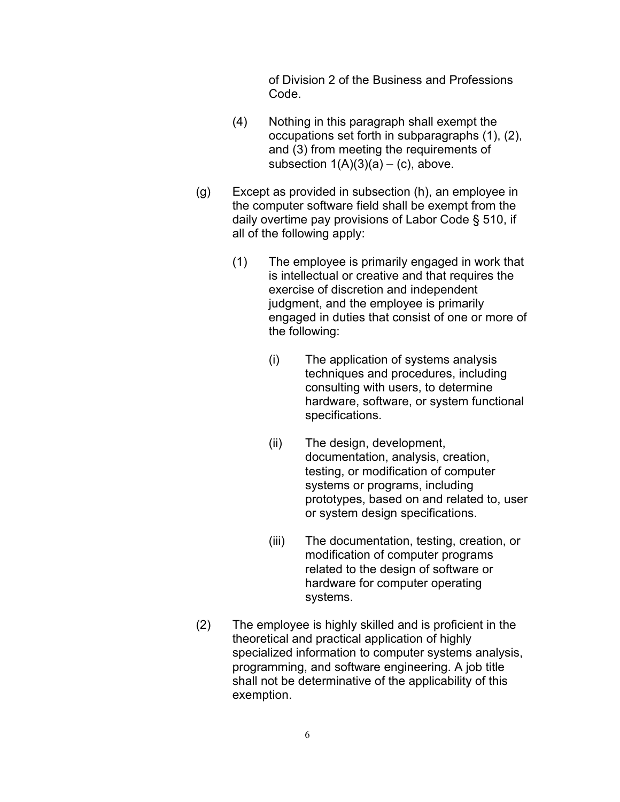of Division 2 of the Business and Professions Code.

- (4) Nothing in this paragraph shall exempt the occupations set forth in subparagraphs (1), (2), and (3) from meeting the requirements of subsection  $1(A)(3)(a) - (c)$ , above.
- (g) Except as provided in subsection (h), an employee in the computer software field shall be exempt from the daily overtime pay provisions of Labor Code § 510, if all of the following apply:
	- (1) The employee is primarily engaged in work that is intellectual or creative and that requires the exercise of discretion and independent judgment, and the employee is primarily engaged in duties that consist of one or more of the following:
		- (i) The application of systems analysis techniques and procedures, including consulting with users, to determine hardware, software, or system functional specifications.
		- (ii) The design, development, documentation, analysis, creation, testing, or modification of computer systems or programs, including prototypes, based on and related to, user or system design specifications.
		- (iii) The documentation, testing, creation, or modification of computer programs related to the design of software or hardware for computer operating systems.
- (2) The employee is highly skilled and is proficient in the theoretical and practical application of highly specialized information to computer systems analysis, programming, and software engineering. A job title shall not be determinative of the applicability of this exemption.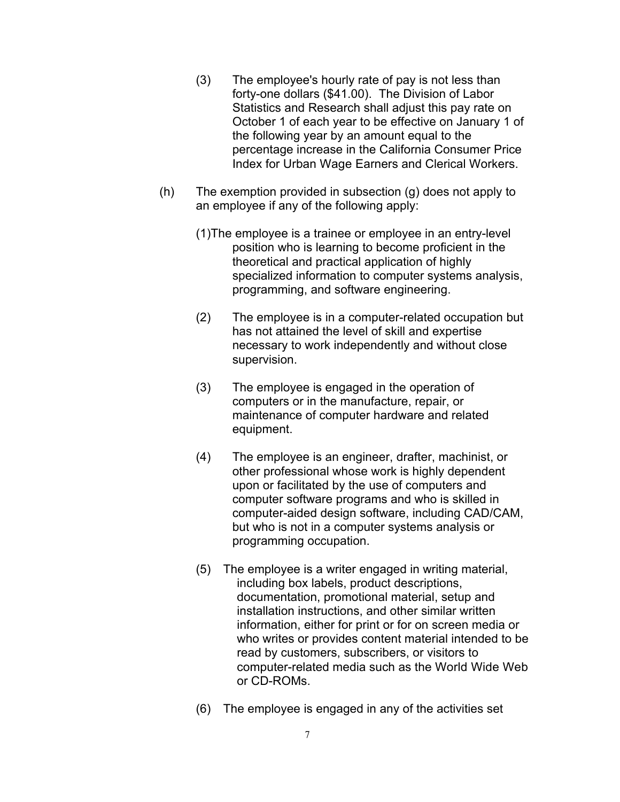- (3) The employee's hourly rate of pay is not less than forty-one dollars (\$41.00). The Division of Labor Statistics and Research shall adjust this pay rate on October 1 of each year to be effective on January 1 of the following year by an amount equal to the percentage increase in the California Consumer Price Index for Urban Wage Earners and Clerical Workers.
- $(h)$  The exemption provided in subsection  $(g)$  does not apply to an employee if any of the following apply:
	- (1)The employee is a trainee or employee in an entry-level position who is learning to become proficient in the theoretical and practical application of highly specialized information to computer systems analysis, programming, and software engineering.
	- (2) The employee is in a computer-related occupation but has not attained the level of skill and expertise necessary to work independently and without close supervision.
	- (3) The employee is engaged in the operation of computers or in the manufacture, repair, or maintenance of computer hardware and related equipment.
	- (4) The employee is an engineer, drafter, machinist, or other professional whose work is highly dependent upon or facilitated by the use of computers and computer software programs and who is skilled in computer-aided design software, including CAD/CAM, but who is not in a computer systems analysis or programming occupation.
	- (5) The employee is a writer engaged in writing material, including box labels, product descriptions, documentation, promotional material, setup and installation instructions, and other similar written information, either for print or for on screen media or who writes or provides content material intended to be read by customers, subscribers, or visitors to computer-related media such as the World Wide Web or CD-ROMs.
	- (6) The employee is engaged in any of the activities set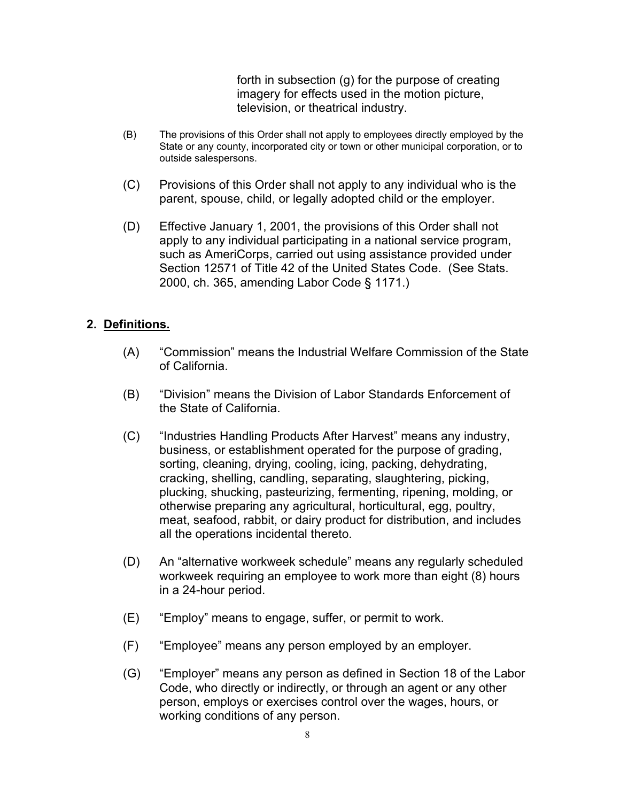forth in subsection (g) for the purpose of creating imagery for effects used in the motion picture, television, or theatrical industry.

- (B) The provisions of this Order shall not apply to employees directly employed by the State or any county, incorporated city or town or other municipal corporation, or to outside salespersons.
- (C) Provisions of this Order shall not apply to any individual who is the parent, spouse, child, or legally adopted child or the employer.
- (D) Effective January 1, 2001, the provisions of this Order shall not apply to any individual participating in a national service program, such as AmeriCorps, carried out using assistance provided under Section 12571 of Title 42 of the United States Code. (See Stats. 2000, ch. 365, amending Labor Code § 1171.)

# **2. Definitions.**

- (A) "Commission" means the Industrial Welfare Commission of the State of California.
- (B) "Division" means the Division of Labor Standards Enforcement of the State of California.
- (C) "Industries Handling Products After Harvest" means any industry, business, or establishment operated for the purpose of grading, sorting, cleaning, drying, cooling, icing, packing, dehydrating, cracking, shelling, candling, separating, slaughtering, picking, plucking, shucking, pasteurizing, fermenting, ripening, molding, or otherwise preparing any agricultural, horticultural, egg, poultry, meat, seafood, rabbit, or dairy product for distribution, and includes all the operations incidental thereto.
- (D) An "alternative workweek schedule" means any regularly scheduled workweek requiring an employee to work more than eight (8) hours in a 24-hour period.
- $(E)$ "Employ" means to engage, suffer, or permit to work.
- $(F)$ "Employee" means any person employed by an employer.
- (G) "Employer" means any person as defined in Section 18 of the Labor Code, who directly or indirectly, or through an agent or any other person, employs or exercises control over the wages, hours, or working conditions of any person.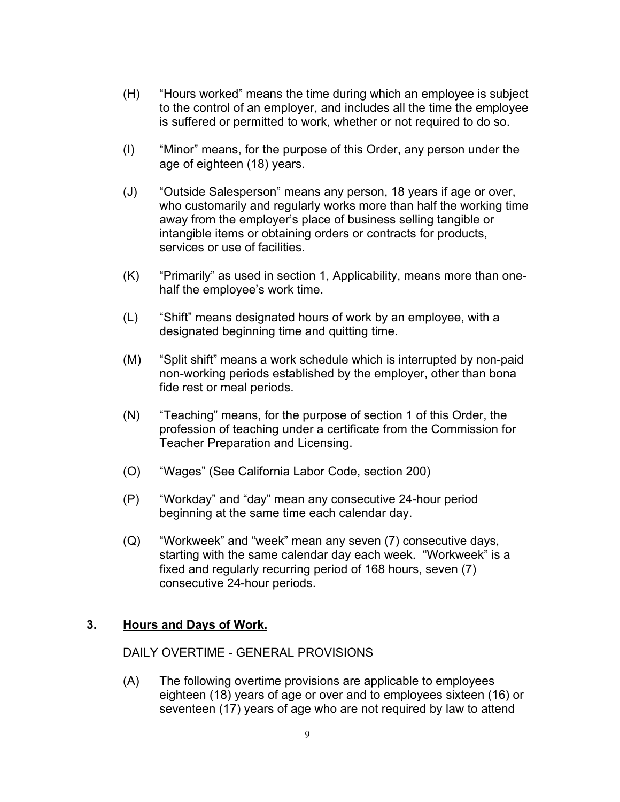- (H) "Hours worked" means the time during which an employee is subject to the control of an employer, and includes all the time the employee is suffered or permitted to work, whether or not required to do so.
- (I) "Minor" means, for the purpose of this Order, any person under the age of eighteen (18) years.
- (J) "Outside Salesperson" means any person, 18 years if age or over, who customarily and regularly works more than half the working time away from the employer's place of business selling tangible or intangible items or obtaining orders or contracts for products, services or use of facilities.
- (K) "Primarily" as used in section 1, Applicability, means more than onehalf the employee's work time.
- (L) "Shift" means designated hours of work by an employee, with a designated beginning time and quitting time.
- (M) "Split shift" means a work schedule which is interrupted by non-paid non-working periods established by the employer, other than bona fide rest or meal periods.
- (N) "Teaching" means, for the purpose of section 1 of this Order, the profession of teaching under a certificate from the Commission for Teacher Preparation and Licensing.
- $(O)$ "Wages" (See California Labor Code, section 200)
- (P) "Workday" and "day" mean any consecutive 24-hour period beginning at the same time each calendar day.
- (Q) "Workweek" and "week" mean any seven (7) consecutive days, starting with the same calendar day each week. "Workweek" is a fixed and regularly recurring period of 168 hours, seven (7) consecutive 24-hour periods.

### **3. Hours and Days of Work.**

#### DAILY OVERTIME - GENERAL PROVISIONS

(A) The following overtime provisions are applicable to employees eighteen (18) years of age or over and to employees sixteen (16) or seventeen (17) years of age who are not required by law to attend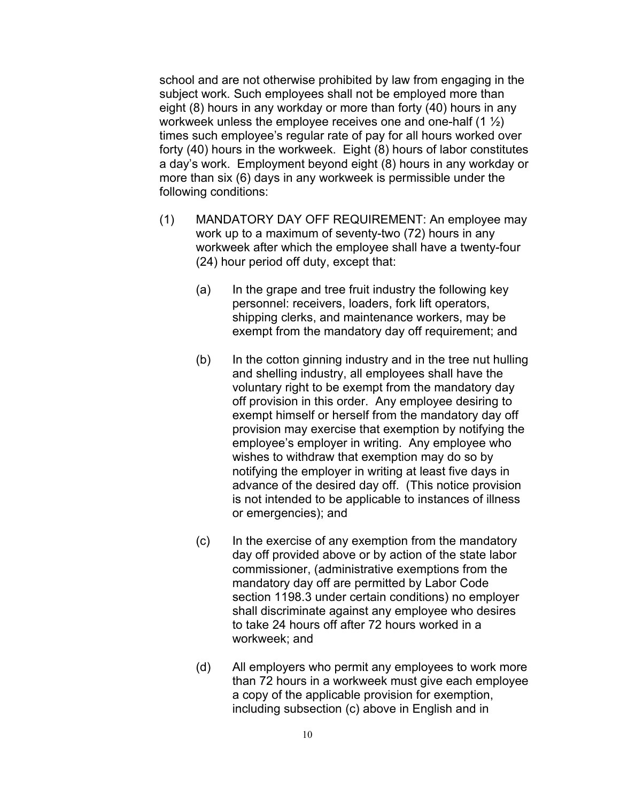a day's work. Employment beyond eight (8) hours in any workday or school and are not otherwise prohibited by law from engaging in the subject work*.* Such employees shall not be employed more than eight (8) hours in any workday or more than forty (40) hours in any workweek unless the employee receives one and one-half  $(1 \frac{1}{2})$ times such employee's regular rate of pay for all hours worked over forty (40) hours in the workweek. Eight (8) hours of labor constitutes more than six (6) days in any workweek is permissible under the following conditions:

- (1) MANDATORY DAY OFF REQUIREMENT: An employee may work up to a maximum of seventy-two (72) hours in any workweek after which the employee shall have a twenty-four (24) hour period off duty, except that:
	- (a) In the grape and tree fruit industry the following key personnel: receivers, loaders, fork lift operators, shipping clerks, and maintenance workers, may be exempt from the mandatory day off requirement; and
	- (b) In the cotton ginning industry and in the tree nut hulling and shelling industry, all employees shall have the voluntary right to be exempt from the mandatory day off provision in this order. Any employee desiring to exempt himself or herself from the mandatory day off provision may exercise that exemption by notifying the employee's employer in writing. Any employee who wishes to withdraw that exemption may do so by notifying the employer in writing at least five days in advance of the desired day off. (This notice provision is not intended to be applicable to instances of illness or emergencies); and
	- (c) In the exercise of any exemption from the mandatory day off provided above or by action of the state labor commissioner, (administrative exemptions from the mandatory day off are permitted by Labor Code section 1198.3 under certain conditions) no employer shall discriminate against any employee who desires to take 24 hours off after 72 hours worked in a workweek; and
	- (d) All employers who permit any employees to work more than 72 hours in a workweek must give each employee a copy of the applicable provision for exemption, including subsection (c) above in English and in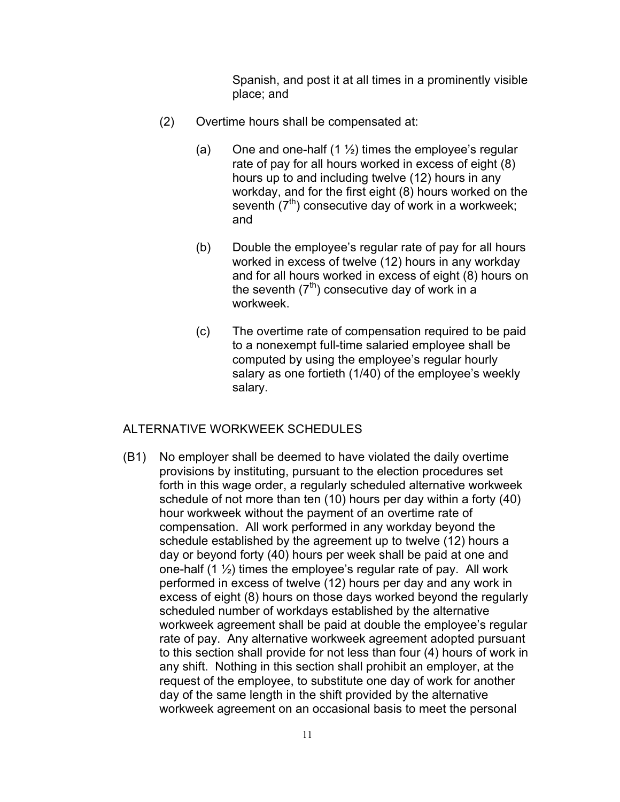Spanish, and post it at all times in a prominently visible place; and

- (2) Overtime hours shall be compensated at:
	- (a) One and one-half  $(1 \frac{1}{2})$  times the employee's regular rate of pay for all hours worked in excess of eight (8) hours up to and including twelve (12) hours in any workday, and for the first eight (8) hours worked on the seventh  $(7<sup>th</sup>)$  consecutive day of work in a workweek; and
	- (b) Double the employee's regular rate of pay for all hours worked in excess of twelve (12) hours in any workday and for all hours worked in excess of eight (8) hours on the seventh  $(7<sup>th</sup>)$  consecutive day of work in a workweek.
	- (c) The overtime rate of compensation required to be paid to a nonexempt full-time salaried employee shall be computed by using the employee's regular hourly salary as one fortieth (1/40) of the employee's weekly salary.

### ALTERNATIVE WORKWEEK SCHEDULES

(B1) No employer shall be deemed to have violated the daily overtime provisions by instituting, pursuant to the election procedures set forth in this wage order, a regularly scheduled alternative workweek schedule of not more than ten (10) hours per day within a forty (40) hour workweek without the payment of an overtime rate of compensation. All work performed in any workday beyond the schedule established by the agreement up to twelve (12) hours a day or beyond forty (40) hours per week shall be paid at one and one-half  $(1 \frac{1}{2})$  times the employee's regular rate of pay. All work performed in excess of twelve (12) hours per day and any work in excess of eight (8) hours on those days worked beyond the regularly scheduled number of workdays established by the alternative workweek agreement shall be paid at double the employee's regular rate of pay. Any alternative workweek agreement adopted pursuant to this section shall provide for not less than four (4) hours of work in any shift. Nothing in this section shall prohibit an employer, at the request of the employee, to substitute one day of work for another day of the same length in the shift provided by the alternative workweek agreement on an occasional basis to meet the personal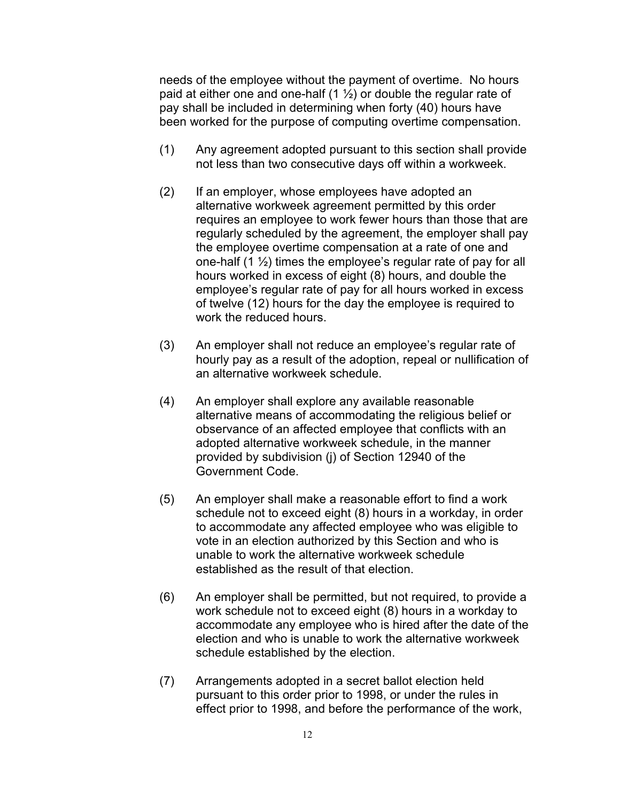needs of the employee without the payment of overtime. No hours paid at either one and one-half  $(1 \frac{1}{2})$  or double the regular rate of pay shall be included in determining when forty (40) hours have been worked for the purpose of computing overtime compensation.

- (1) Any agreement adopted pursuant to this section shall provide not less than two consecutive days off within a workweek.
- (2) If an employer, whose employees have adopted an alternative workweek agreement permitted by this order requires an employee to work fewer hours than those that are regularly scheduled by the agreement, the employer shall pay the employee overtime compensation at a rate of one and one-half  $(1 \frac{1}{2})$  times the employee's regular rate of pay for all hours worked in excess of eight (8) hours, and double the employee's regular rate of pay for all hours worked in excess of twelve (12) hours for the day the employee is required to work the reduced hours.
- (3) An employer shall not reduce an employee's regular rate of hourly pay as a result of the adoption, repeal or nullification of an alternative workweek schedule.
- (4) An employer shall explore any available reasonable alternative means of accommodating the religious belief or observance of an affected employee that conflicts with an adopted alternative workweek schedule, in the manner provided by subdivision (j) of Section 12940 of the Government Code.
- (5) An employer shall make a reasonable effort to find a work schedule not to exceed eight (8) hours in a workday, in order to accommodate any affected employee who was eligible to vote in an election authorized by this Section and who is unable to work the alternative workweek schedule established as the result of that election.
- (6) An employer shall be permitted, but not required, to provide a work schedule not to exceed eight (8) hours in a workday to accommodate any employee who is hired after the date of the election and who is unable to work the alternative workweek schedule established by the election.
- (7) Arrangements adopted in a secret ballot election held pursuant to this order prior to 1998, or under the rules in effect prior to 1998, and before the performance of the work,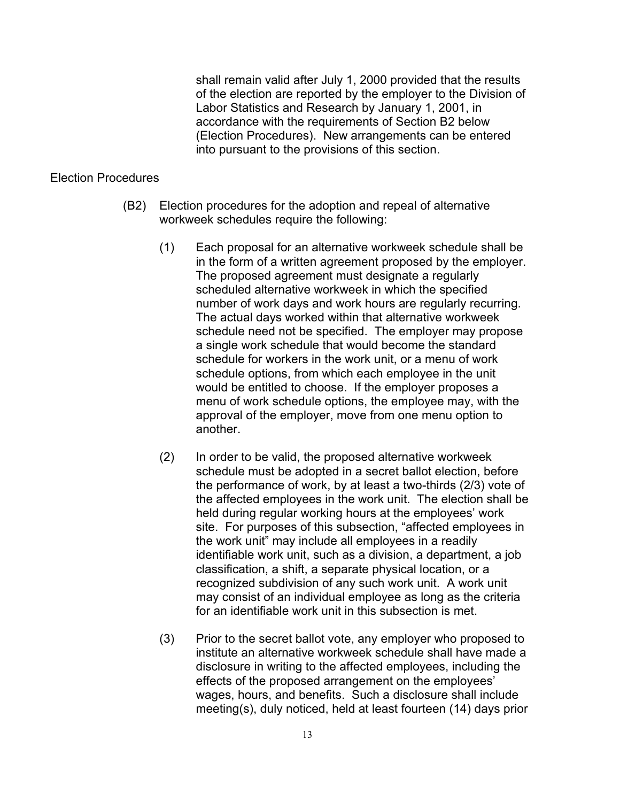shall remain valid after July 1, 2000 provided that the results of the election are reported by the employer to the Division of Labor Statistics and Research by January 1, 2001, in accordance with the requirements of Section B2 below (Election Procedures). New arrangements can be entered into pursuant to the provisions of this section.

#### Election Procedures

- (B2) Election procedures for the adoption and repeal of alternative workweek schedules require the following:
	- (1) Each proposal for an alternative workweek schedule shall be in the form of a written agreement proposed by the employer. The proposed agreement must designate a regularly scheduled alternative workweek in which the specified number of work days and work hours are regularly recurring. The actual days worked within that alternative workweek schedule need not be specified. The employer may propose a single work schedule that would become the standard schedule for workers in the work unit, or a menu of work schedule options, from which each employee in the unit would be entitled to choose. If the employer proposes a menu of work schedule options, the employee may, with the approval of the employer, move from one menu option to another.
	- (2) In order to be valid, the proposed alternative workweek schedule must be adopted in a secret ballot election, before the performance of work, by at least a two-thirds (2/3) vote of the affected employees in the work unit. The election shall be held during regular working hours at the employees' work site. For purposes of this subsection, "affected employees in the work unit" may include all employees in a readily identifiable work unit, such as a division, a department, a job classification, a shift, a separate physical location, or a recognized subdivision of any such work unit. A work unit may consist of an individual employee as long as the criteria for an identifiable work unit in this subsection is met.
	- (3) Prior to the secret ballot vote, any employer who proposed to institute an alternative workweek schedule shall have made a disclosure in writing to the affected employees, including the effects of the proposed arrangement on the employees' wages, hours, and benefits. Such a disclosure shall include meeting(s), duly noticed, held at least fourteen (14) days prior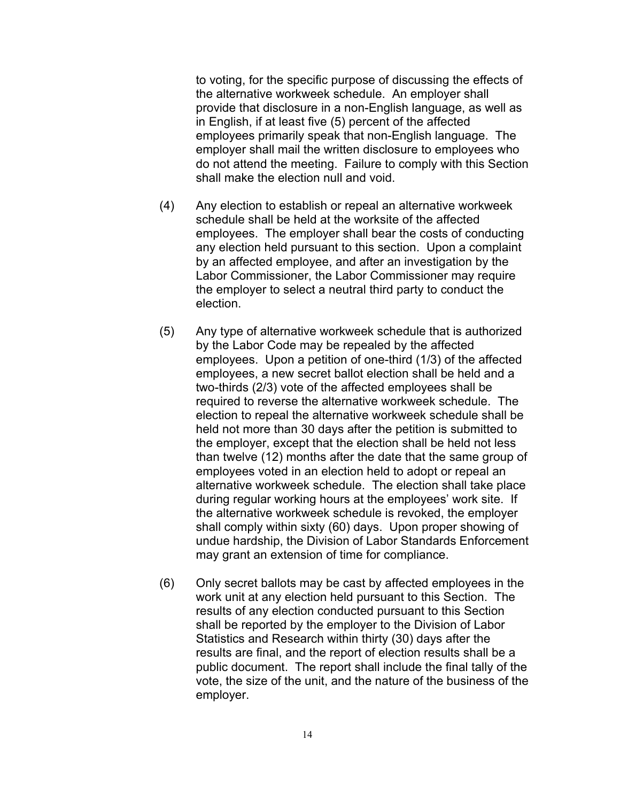to voting, for the specific purpose of discussing the effects of the alternative workweek schedule. An employer shall provide that disclosure in a non-English language, as well as in English, if at least five (5) percent of the affected employees primarily speak that non-English language. The employer shall mail the written disclosure to employees who do not attend the meeting. Failure to comply with this Section shall make the election null and void.

- (4) Any election to establish or repeal an alternative workweek schedule shall be held at the worksite of the affected employees. The employer shall bear the costs of conducting any election held pursuant to this section. Upon a complaint by an affected employee, and after an investigation by the Labor Commissioner, the Labor Commissioner may require the employer to select a neutral third party to conduct the election.
- (5) Any type of alternative workweek schedule that is authorized by the Labor Code may be repealed by the affected employees. Upon a petition of one-third (1/3) of the affected employees, a new secret ballot election shall be held and a two-thirds (2/3) vote of the affected employees shall be required to reverse the alternative workweek schedule. The election to repeal the alternative workweek schedule shall be held not more than 30 days after the petition is submitted to the employer, except that the election shall be held not less than twelve (12) months after the date that the same group of employees voted in an election held to adopt or repeal an alternative workweek schedule. The election shall take place during regular working hours at the employees' work site. If the alternative workweek schedule is revoked, the employer shall comply within sixty (60) days. Upon proper showing of undue hardship, the Division of Labor Standards Enforcement may grant an extension of time for compliance.
- (6) Only secret ballots may be cast by affected employees in the work unit at any election held pursuant to this Section. The results of any election conducted pursuant to this Section shall be reported by the employer to the Division of Labor Statistics and Research within thirty (30) days after the results are final, and the report of election results shall be a public document. The report shall include the final tally of the vote, the size of the unit, and the nature of the business of the employer.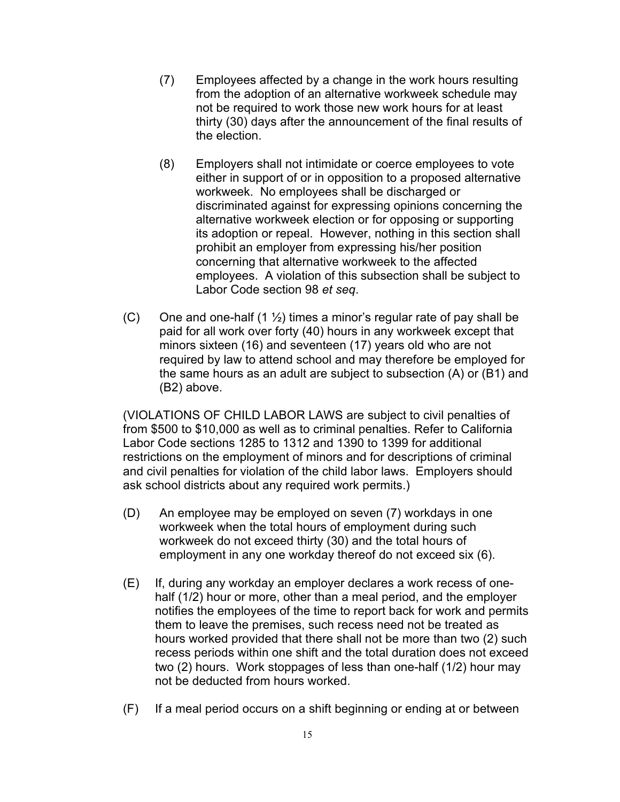- (7) Employees affected by a change in the work hours resulting from the adoption of an alternative workweek schedule may not be required to work those new work hours for at least thirty (30) days after the announcement of the final results of the election.
- (8) Employers shall not intimidate or coerce employees to vote either in support of or in opposition to a proposed alternative workweek. No employees shall be discharged or discriminated against for expressing opinions concerning the alternative workweek election or for opposing or supporting its adoption or repeal. However, nothing in this section shall prohibit an employer from expressing his/her position concerning that alternative workweek to the affected employees. A violation of this subsection shall be subject to Labor Code section 98 *et seq*.
- (C) One and one-half  $(1 \frac{1}{2})$  times a minor's regular rate of pay shall be paid for all work over forty (40) hours in any workweek except that minors sixteen (16) and seventeen (17) years old who are not required by law to attend school and may therefore be employed for the same hours as an adult are subject to subsection (A) or (B1) and (B2) above.

(VIOLATIONS OF CHILD LABOR LAWS are subject to civil penalties of from \$500 to \$10,000 as well as to criminal penalties. Refer to California Labor Code sections 1285 to 1312 and 1390 to 1399 for additional restrictions on the employment of minors and for descriptions of criminal and civil penalties for violation of the child labor laws. Employers should ask school districts about any required work permits.)

- (D) An employee may be employed on seven (7) workdays in one workweek when the total hours of employment during such workweek do not exceed thirty (30) and the total hours of employment in any one workday thereof do not exceed six (6).
- (E) If, during any workday an employer declares a work recess of onehalf (1/2) hour or more, other than a meal period, and the employer notifies the employees of the time to report back for work and permits them to leave the premises, such recess need not be treated as hours worked provided that there shall not be more than two (2) such recess periods within one shift and the total duration does not exceed two (2) hours. Work stoppages of less than one-half (1/2) hour may not be deducted from hours worked.
- (F) If a meal period occurs on a shift beginning or ending at or between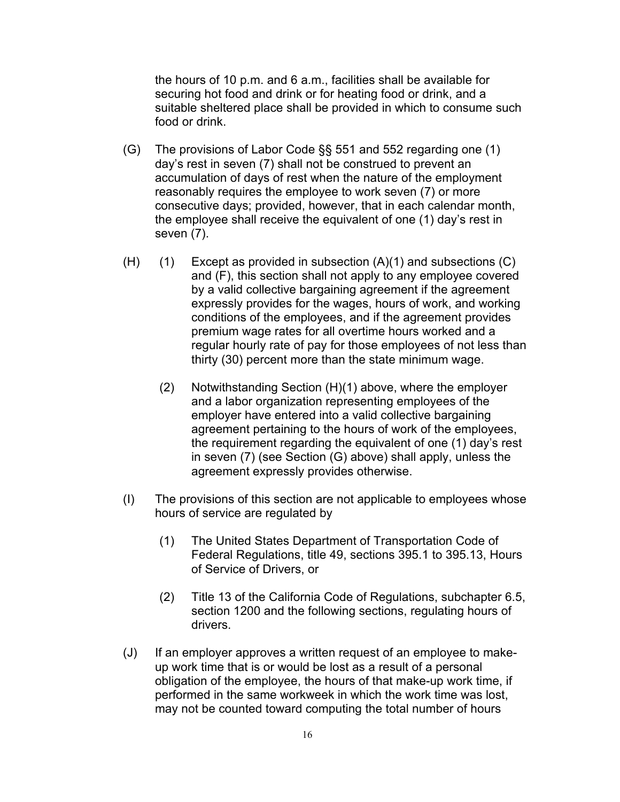the hours of 10 p.m. and 6 a.m., facilities shall be available for securing hot food and drink or for heating food or drink, and a suitable sheltered place shall be provided in which to consume such food or drink.

- (G) The provisions of Labor Code §§ 551 and 552 regarding one (1) day's rest in seven (7) shall not be construed to prevent an accumulation of days of rest when the nature of the employment reasonably requires the employee to work seven (7) or more consecutive days; provided, however, that in each calendar month, the employee shall receive the equivalent of one (1) day's rest in seven (7).
- $(H)$  (1) Except as provided in subsection  $(A)(1)$  and subsections  $(C)$ and (F), this section shall not apply to any employee covered by a valid collective bargaining agreement if the agreement expressly provides for the wages, hours of work, and working conditions of the employees, and if the agreement provides premium wage rates for all overtime hours worked and a regular hourly rate of pay for those employees of not less than thirty (30) percent more than the state minimum wage.
	- $(2)$  Notwithstanding Section  $(H)(1)$  above, where the employer and a labor organization representing employees of the employer have entered into a valid collective bargaining agreement pertaining to the hours of work of the employees, the requirement regarding the equivalent of one (1) day's rest in seven (7) (see Section (G) above) shall apply, unless the agreement expressly provides otherwise.
- (I) The provisions of this section are not applicable to employees whose hours of service are regulated by
	- (1) The United States Department of Transportation Code of Federal Regulations, title 49, sections 395.1 to 395.13, Hours of Service of Drivers, or
	- (2) Title 13 of the California Code of Regulations, subchapter 6.5, section 1200 and the following sections, regulating hours of drivers.
- (J) If an employer approves a written request of an employee to makeup work time that is or would be lost as a result of a personal obligation of the employee, the hours of that make-up work time, if performed in the same workweek in which the work time was lost, may not be counted toward computing the total number of hours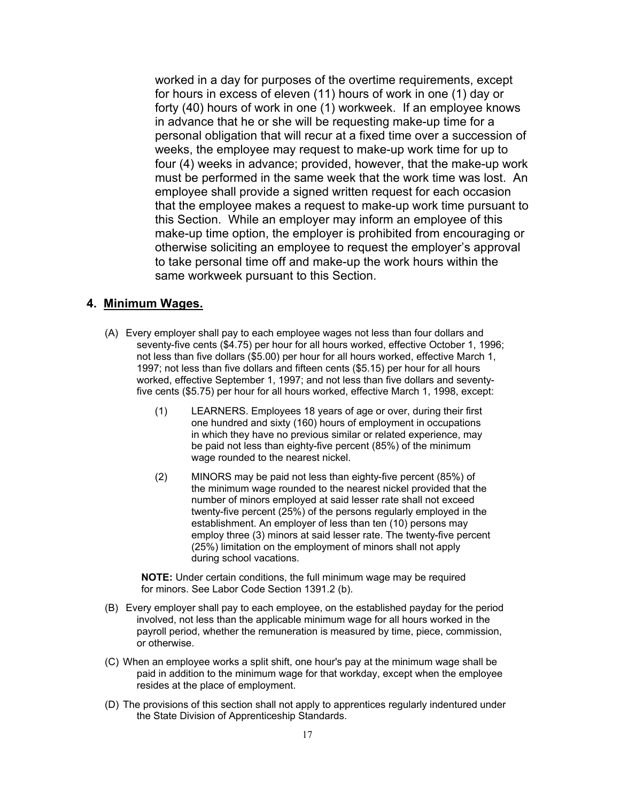worked in a day for purposes of the overtime requirements, except for hours in excess of eleven (11) hours of work in one (1) day or forty (40) hours of work in one (1) workweek. If an employee knows in advance that he or she will be requesting make-up time for a personal obligation that will recur at a fixed time over a succession of weeks, the employee may request to make-up work time for up to four (4) weeks in advance; provided, however, that the make-up work must be performed in the same week that the work time was lost. An employee shall provide a signed written request for each occasion that the employee makes a request to make-up work time pursuant to this Section. While an employer may inform an employee of this make-up time option, the employer is prohibited from encouraging or otherwise soliciting an employee to request the employer's approval to take personal time off and make-up the work hours within the same workweek pursuant to this Section.

#### **4. Minimum Wages.**

- (A) Every employer shall pay to each employee wages not less than four dollars and seventy-five cents (\$4.75) per hour for all hours worked, effective October 1, 1996; not less than five dollars (\$5.00) per hour for all hours worked, effective March 1, 1997; not less than five dollars and fifteen cents (\$5.15) per hour for all hours worked, effective September 1, 1997; and not less than five dollars and seventyfive cents (\$5.75) per hour for all hours worked, effective March 1, 1998, except:
	- (1) LEARNERS. Employees 18 years of age or over, during their first one hundred and sixty (160) hours of employment in occupations in which they have no previous similar or related experience, may be paid not less than eighty-five percent (85%) of the minimum wage rounded to the nearest nickel.
	- (2) MINORS may be paid not less than eighty-five percent (85%) of the minimum wage rounded to the nearest nickel provided that the number of minors employed at said lesser rate shall not exceed twenty-five percent (25%) of the persons regularly employed in the establishment. An employer of less than ten (10) persons may employ three (3) minors at said lesser rate. The twenty-five percent (25%) limitation on the employment of minors shall not apply during school vacations.

**NOTE:** Under certain conditions, the full minimum wage may be required for minors. See Labor Code Section 1391.2 (b).

- (B) Every employer shall pay to each employee, on the established payday for the period involved, not less than the applicable minimum wage for all hours worked in the payroll period, whether the remuneration is measured by time, piece, commission, or otherwise.
- (C) When an employee works a split shift, one hour's pay at the minimum wage shall be paid in addition to the minimum wage for that workday, except when the employee resides at the place of employment.
- (D) The provisions of this section shall not apply to apprentices regularly indentured under the State Division of Apprenticeship Standards.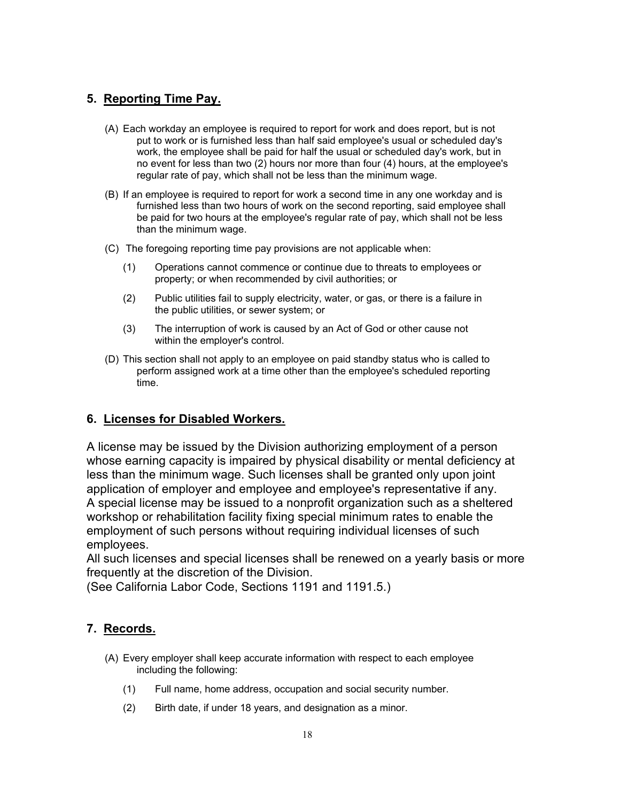# **5. Reporting Time Pay.**

- (A) Each workday an employee is required to report for work and does report, but is not put to work or is furnished less than half said employee's usual or scheduled day's work, the employee shall be paid for half the usual or scheduled day's work, but in no event for less than two (2) hours nor more than four (4) hours, at the employee's regular rate of pay, which shall not be less than the minimum wage.
- (B) If an employee is required to report for work a second time in any one workday and is furnished less than two hours of work on the second reporting, said employee shall be paid for two hours at the employee's regular rate of pay, which shall not be less than the minimum wage.
- (C) The foregoing reporting time pay provisions are not applicable when:
	- (1) Operations cannot commence or continue due to threats to employees or property; or when recommended by civil authorities; or
	- (2) Public utilities fail to supply electricity, water, or gas, or there is a failure in the public utilities, or sewer system; or
	- (3) The interruption of work is caused by an Act of God or other cause not within the employer's control.
- (D) This section shall not apply to an employee on paid standby status who is called to perform assigned work at a time other than the employee's scheduled reporting time.

### **6. Licenses for Disabled Workers.**

A license may be issued by the Division authorizing employment of a person whose earning capacity is impaired by physical disability or mental deficiency at less than the minimum wage. Such licenses shall be granted only upon joint application of employer and employee and employee's representative if any. A special license may be issued to a nonprofit organization such as a sheltered workshop or rehabilitation facility fixing special minimum rates to enable the employment of such persons without requiring individual licenses of such employees.

All such licenses and special licenses shall be renewed on a yearly basis or more frequently at the discretion of the Division.

(See California Labor Code, Sections 1191 and 1191.5.)

### **7. Records.**

- (A) Every employer shall keep accurate information with respect to each employee including the following:
	- $(1)$ Full name, home address, occupation and social security number.
	- (2) Birth date, if under 18 years, and designation as a minor.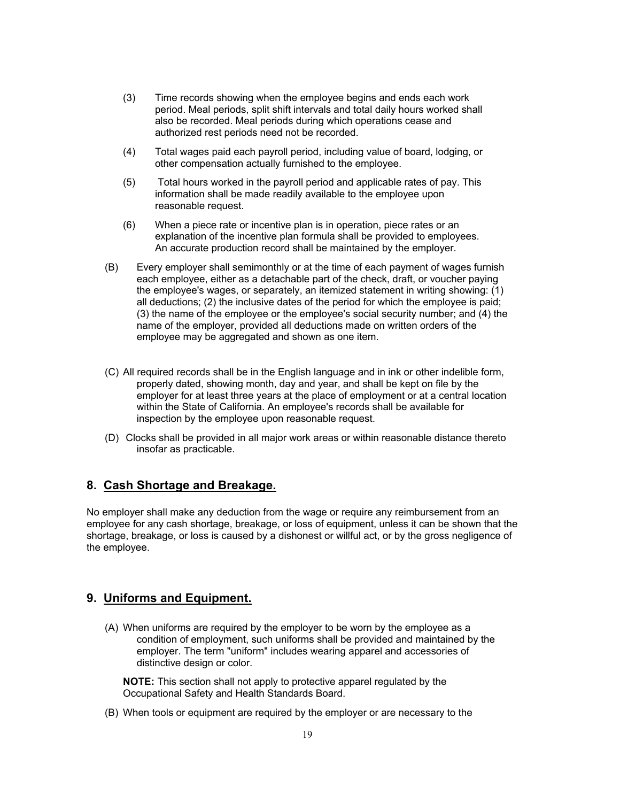- (3) Time records showing when the employee begins and ends each work period. Meal periods, split shift intervals and total daily hours worked shall also be recorded. Meal periods during which operations cease and authorized rest periods need not be recorded.
- (4) Total wages paid each payroll period, including value of board, lodging, or other compensation actually furnished to the employee.
- (5) Total hours worked in the payroll period and applicable rates of pay. This information shall be made readily available to the employee upon reasonable request.
- $(6)$ When a piece rate or incentive plan is in operation, piece rates or an explanation of the incentive plan formula shall be provided to employees. An accurate production record shall be maintained by the employer.
- $(B)$ Every employer shall semimonthly or at the time of each payment of wages furnish each employee, either as a detachable part of the check, draft, or voucher paying the employee's wages, or separately, an itemized statement in writing showing: (1) all deductions; (2) the inclusive dates of the period for which the employee is paid; (3) the name of the employee or the employee's social security number; and (4) the name of the employer, provided all deductions made on written orders of the employee may be aggregated and shown as one item.
- (C) All required records shall be in the English language and in ink or other indelible form, properly dated, showing month, day and year, and shall be kept on file by the employer for at least three years at the place of employment or at a central location within the State of California. An employee's records shall be available for inspection by the employee upon reasonable request.
- (D) Clocks shall be provided in all major work areas or within reasonable distance thereto insofar as practicable.

#### **8. Cash Shortage and Breakage.**

No employer shall make any deduction from the wage or require any reimbursement from an employee for any cash shortage, breakage, or loss of equipment, unless it can be shown that the shortage, breakage, or loss is caused by a dishonest or willful act, or by the gross negligence of the employee.

#### **9. Uniforms and Equipment.**

(A) When uniforms are required by the employer to be worn by the employee as a condition of employment, such uniforms shall be provided and maintained by the employer. The term "uniform" includes wearing apparel and accessories of distinctive design or color.

**NOTE:** This section shall not apply to protective apparel regulated by the Occupational Safety and Health Standards Board.

(B) When tools or equipment are required by the employer or are necessary to the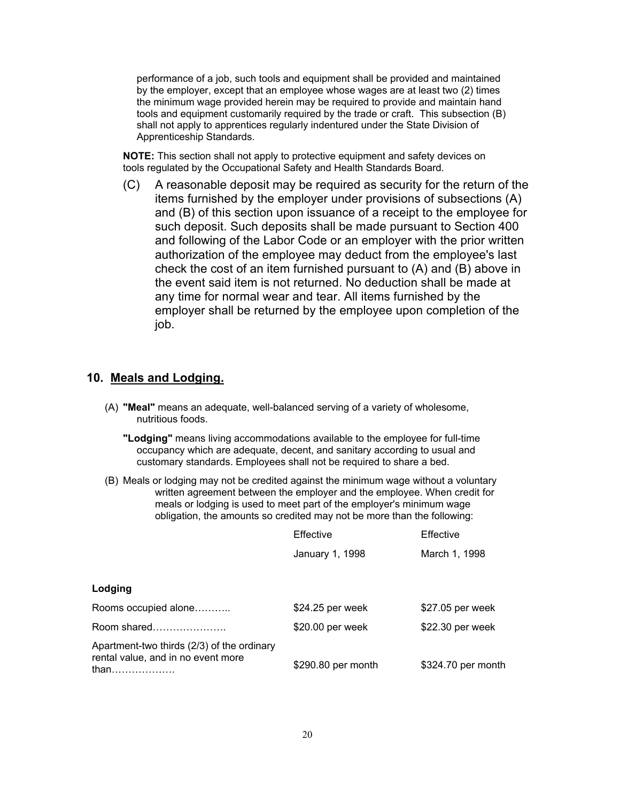performance of a job, such tools and equipment shall be provided and maintained by the employer, except that an employee whose wages are at least two (2) times the minimum wage provided herein may be required to provide and maintain hand tools and equipment customarily required by the trade or craft. This subsection (B) shall not apply to apprentices regularly indentured under the State Division of Apprenticeship Standards.

**NOTE:** This section shall not apply to protective equipment and safety devices on tools regulated by the Occupational Safety and Health Standards Board.

(C) A reasonable deposit may be required as security for the return of the items furnished by the employer under provisions of subsections (A) and (B) of this section upon issuance of a receipt to the employee for such deposit. Such deposits shall be made pursuant to Section 400 and following of the Labor Code or an employer with the prior written authorization of the employee may deduct from the employee's last check the cost of an item furnished pursuant to (A) and (B) above in the event said item is not returned. No deduction shall be made at any time for normal wear and tear. All items furnished by the employer shall be returned by the employee upon completion of the job.

#### **10. Meals and Lodging.**

- (A) **"Meal"** means an adequate, well-balanced serving of a variety of wholesome, nutritious foods.
	- **"Lodging"** means living accommodations available to the employee for full-time occupancy which are adequate, decent, and sanitary according to usual and customary standards. Employees shall not be required to share a bed.
- (B) Meals or lodging may not be credited against the minimum wage without a voluntary written agreement between the employer and the employee. When credit for meals or lodging is used to meet part of the employer's minimum wage obligation, the amounts so credited may not be more than the following:

|                                                                                                 | Effective          | Effective          |
|-------------------------------------------------------------------------------------------------|--------------------|--------------------|
|                                                                                                 | January 1, 1998    | March 1, 1998      |
| Lodging                                                                                         |                    |                    |
| Rooms occupied alone                                                                            | \$24.25 per week   | \$27.05 per week   |
| Room shared                                                                                     | \$20.00 per week   | \$22.30 per week   |
| Apartment-two thirds (2/3) of the ordinary<br>rental value, and in no event more<br>than………………… | \$290.80 per month | \$324.70 per month |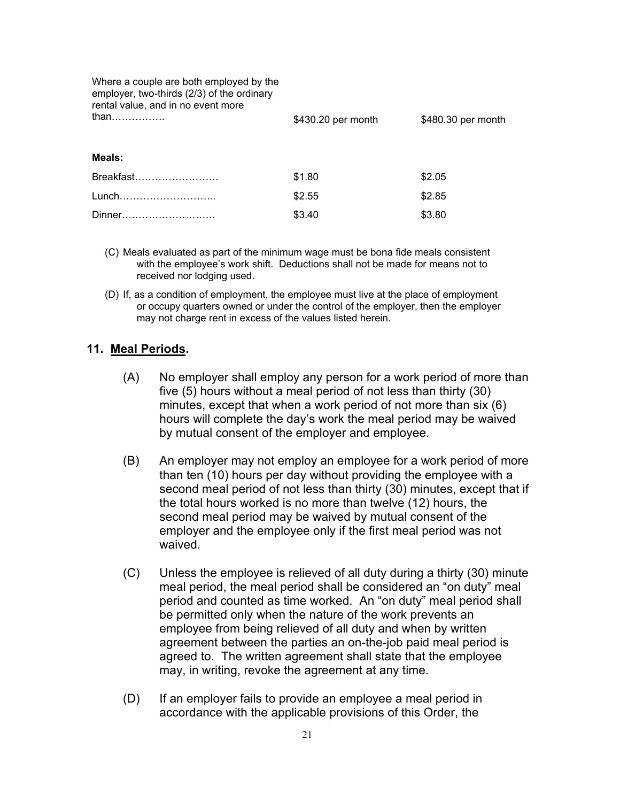| Where a couple are both employed by the<br>employer, two-thirds (2/3) of the ordinary<br>rental value, and in no event more<br>than | \$430.20 per month | \$480.30 per month |
|-------------------------------------------------------------------------------------------------------------------------------------|--------------------|--------------------|
| Meals:                                                                                                                              |                    |                    |
| Breakfast                                                                                                                           | \$1.80             | \$2.05             |
| Lunch                                                                                                                               | \$2.55             | \$2.85             |
| Dinner                                                                                                                              | \$3.40             | \$3.80             |

- (C) Meals evaluated as part of the minimum wage must be bona fide meals consistent with the employee's work shift. Deductions shall not be made for means not to received nor lodging used.
- (D) If, as a condition of employment, the employee must live at the place of employment or occupy quarters owned or under the control of the employer, then the employer may not charge rent in excess of the values listed herein.

#### **11. Meal Periods.**

- (A) No employer shall employ any person for a work period of more than five (5) hours without a meal period of not less than thirty (30) minutes, except that when a work period of not more than six (6) hours will complete the day's work the meal period may be waived by mutual consent of the employer and employee.
- (B) An employer may not employ an employee for a work period of more than ten (10) hours per day without providing the employee with a second meal period of not less than thirty (30) minutes, except that if the total hours worked is no more than twelve (12) hours, the second meal period may be waived by mutual consent of the employer and the employee only if the first meal period was not waived.
- (C) Unless the employee is relieved of all duty during a thirty (30) minute meal period, the meal period shall be considered an "on duty" meal period and counted as time worked. An "on duty" meal period shall be permitted only when the nature of the work prevents an employee from being relieved of all duty and when by written agreement between the parties an on-the-job paid meal period is agreed to. The written agreement shall state that the employee may, in writing, revoke the agreement at any time.
- (D) If an employer fails to provide an employee a meal period in accordance with the applicable provisions of this Order, the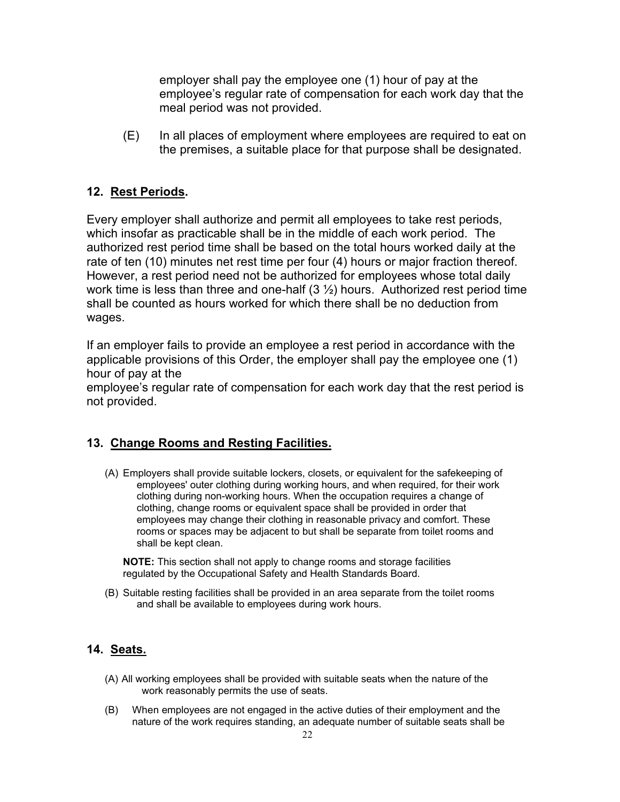employer shall pay the employee one (1) hour of pay at the employee's regular rate of compensation for each work day that the meal period was not provided.

(E) In all places of employment where employees are required to eat on the premises, a suitable place for that purpose shall be designated.

# **12. Rest Periods.**

Every employer shall authorize and permit all employees to take rest periods, which insofar as practicable shall be in the middle of each work period. The authorized rest period time shall be based on the total hours worked daily at the rate of ten (10) minutes net rest time per four (4) hours or major fraction thereof. However, a rest period need not be authorized for employees whose total daily work time is less than three and one-half  $(3 \frac{1}{2})$  hours. Authorized rest period time shall be counted as hours worked for which there shall be no deduction from wages.

If an employer fails to provide an employee a rest period in accordance with the applicable provisions of this Order, the employer shall pay the employee one (1) hour of pay at the

employee's regular rate of compensation for each work day that the rest period is not provided.

# **13. Change Rooms and Resting Facilities.**

(A) Employers shall provide suitable lockers, closets, or equivalent for the safekeeping of employees' outer clothing during working hours, and when required, for their work clothing during non-working hours. When the occupation requires a change of clothing, change rooms or equivalent space shall be provided in order that employees may change their clothing in reasonable privacy and comfort. These rooms or spaces may be adjacent to but shall be separate from toilet rooms and shall be kept clean.

**NOTE:** This section shall not apply to change rooms and storage facilities regulated by the Occupational Safety and Health Standards Board.

(B) Suitable resting facilities shall be provided in an area separate from the toilet rooms and shall be available to employees during work hours.

# **14. Seats.**

- (A) All working employees shall be provided with suitable seats when the nature of the work reasonably permits the use of seats.
- (B) When employees are not engaged in the active duties of their employment and the nature of the work requires standing, an adequate number of suitable seats shall be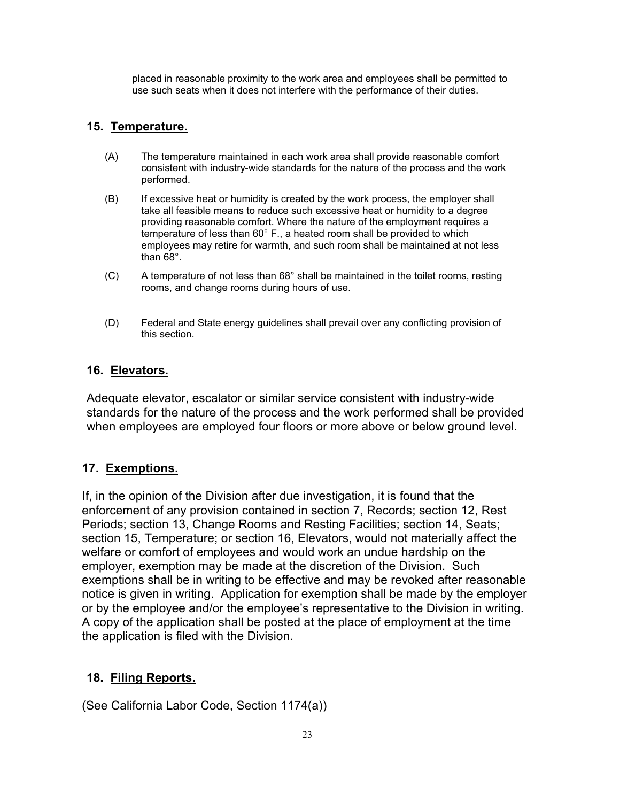placed in reasonable proximity to the work area and employees shall be permitted to use such seats when it does not interfere with the performance of their duties.

### **15. Temperature.**

- $(A)$ The temperature maintained in each work area shall provide reasonable comfort consistent with industry-wide standards for the nature of the process and the work performed.
- $(B)$ If excessive heat or humidity is created by the work process, the employer shall take all feasible means to reduce such excessive heat or humidity to a degree providing reasonable comfort. Where the nature of the employment requires a temperature of less than 60° F., a heated room shall be provided to which employees may retire for warmth, and such room shall be maintained at not less than 68°.
- $(C)$ A temperature of not less than  $68^\circ$  shall be maintained in the toilet rooms, resting rooms, and change rooms during hours of use.
- $(D)$ Federal and State energy guidelines shall prevail over any conflicting provision of this section.

### **16. Elevators.**

Adequate elevator, escalator or similar service consistent with industry-wide standards for the nature of the process and the work performed shall be provided when employees are employed four floors or more above or below ground level.

### **17. Exemptions.**

If, in the opinion of the Division after due investigation, it is found that the enforcement of any provision contained in section 7, Records; section 12, Rest Periods; section 13, Change Rooms and Resting Facilities; section 14, Seats; section 15, Temperature; or section 16, Elevators, would not materially affect the welfare or comfort of employees and would work an undue hardship on the employer, exemption may be made at the discretion of the Division. Such exemptions shall be in writing to be effective and may be revoked after reasonable notice is given in writing. Application for exemption shall be made by the employer or by the employee and/or the employee's representative to the Division in writing. A copy of the application shall be posted at the place of employment at the time the application is filed with the Division.

### **18. Filing Reports.**

(See California Labor Code, Section 1174(a))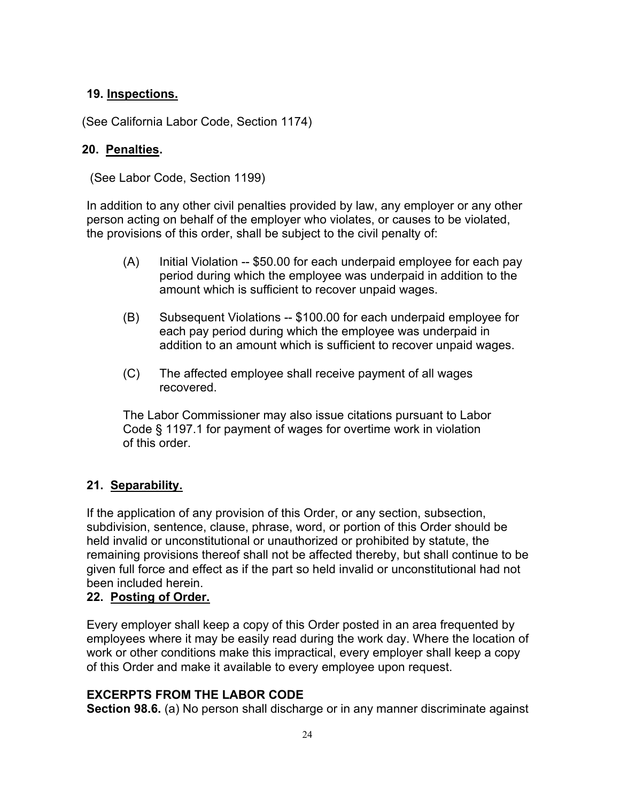# **19. Inspections.**

(See California Labor Code, Section 1174)

# **20. Penalties.**

(See Labor Code, Section 1199)

In addition to any other civil penalties provided by law, any employer or any other person acting on behalf of the employer who violates, or causes to be violated, the provisions of this order, shall be subject to the civil penalty of:

- (A) Initial Violation -- \$50.00 for each underpaid employee for each pay period during which the employee was underpaid in addition to the amount which is sufficient to recover unpaid wages.
- (B) Subsequent Violations -- \$100.00 for each underpaid employee for each pay period during which the employee was underpaid in addition to an amount which is sufficient to recover unpaid wages.
- (C) The affected employee shall receive payment of all wages recovered.

The Labor Commissioner may also issue citations pursuant to Labor Code § 1197.1 for payment of wages for overtime work in violation of this order.

# **21. Separability.**

If the application of any provision of this Order, or any section, subsection, subdivision, sentence, clause, phrase, word, or portion of this Order should be held invalid or unconstitutional or unauthorized or prohibited by statute, the remaining provisions thereof shall not be affected thereby, but shall continue to be given full force and effect as if the part so held invalid or unconstitutional had not been included herein.

### **22. Posting of Order.**

Every employer shall keep a copy of this Order posted in an area frequented by employees where it may be easily read during the work day. Where the location of work or other conditions make this impractical, every employer shall keep a copy of this Order and make it available to every employee upon request.

# **EXCERPTS FROM THE LABOR CODE**

**Section 98.6.** (a) No person shall discharge or in any manner discriminate against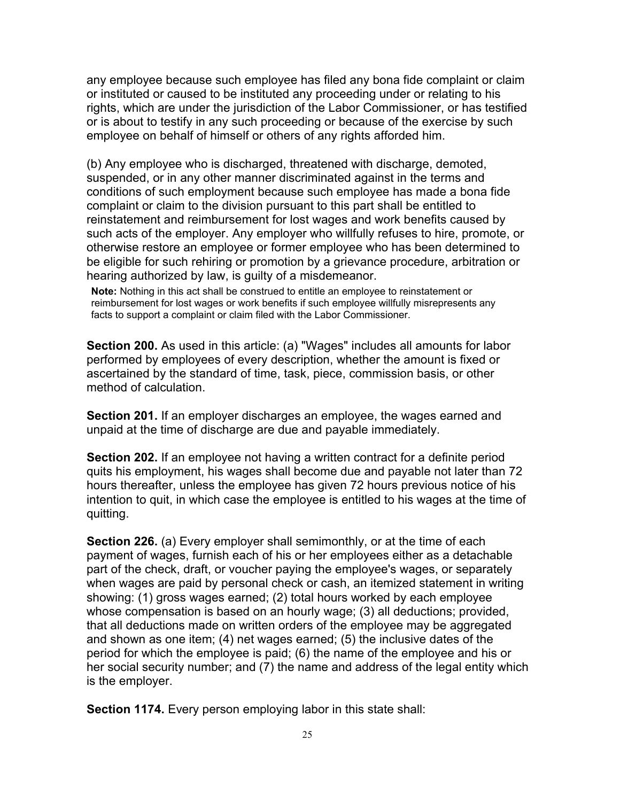any employee because such employee has filed any bona fide complaint or claim or instituted or caused to be instituted any proceeding under or relating to his rights, which are under the jurisdiction of the Labor Commissioner, or has testified or is about to testify in any such proceeding or because of the exercise by such employee on behalf of himself or others of any rights afforded him.

(b) Any employee who is discharged, threatened with discharge, demoted, suspended, or in any other manner discriminated against in the terms and conditions of such employment because such employee has made a bona fide complaint or claim to the division pursuant to this part shall be entitled to reinstatement and reimbursement for lost wages and work benefits caused by such acts of the employer. Any employer who willfully refuses to hire, promote, or otherwise restore an employee or former employee who has been determined to be eligible for such rehiring or promotion by a grievance procedure, arbitration or hearing authorized by law, is guilty of a misdemeanor.

**Note:** Nothing in this act shall be construed to entitle an employee to reinstatement or reimbursement for lost wages or work benefits if such employee willfully misrepresents any facts to support a complaint or claim filed with the Labor Commissioner.

**Section 200.** As used in this article: (a) "Wages" includes all amounts for labor performed by employees of every description, whether the amount is fixed or ascertained by the standard of time, task, piece, commission basis, or other method of calculation.

**Section 201.** If an employer discharges an employee, the wages earned and unpaid at the time of discharge are due and payable immediately.

**Section 202.** If an employee not having a written contract for a definite period quits his employment, his wages shall become due and payable not later than 72 hours thereafter, unless the employee has given 72 hours previous notice of his intention to quit, in which case the employee is entitled to his wages at the time of quitting.

**Section 226.** (a) Every employer shall semimonthly, or at the time of each payment of wages, furnish each of his or her employees either as a detachable part of the check, draft, or voucher paying the employee's wages, or separately when wages are paid by personal check or cash, an itemized statement in writing showing: (1) gross wages earned; (2) total hours worked by each employee whose compensation is based on an hourly wage; (3) all deductions; provided, that all deductions made on written orders of the employee may be aggregated and shown as one item; (4) net wages earned; (5) the inclusive dates of the period for which the employee is paid; (6) the name of the employee and his or her social security number; and (7) the name and address of the legal entity which is the employer.

**Section 1174.** Every person employing labor in this state shall: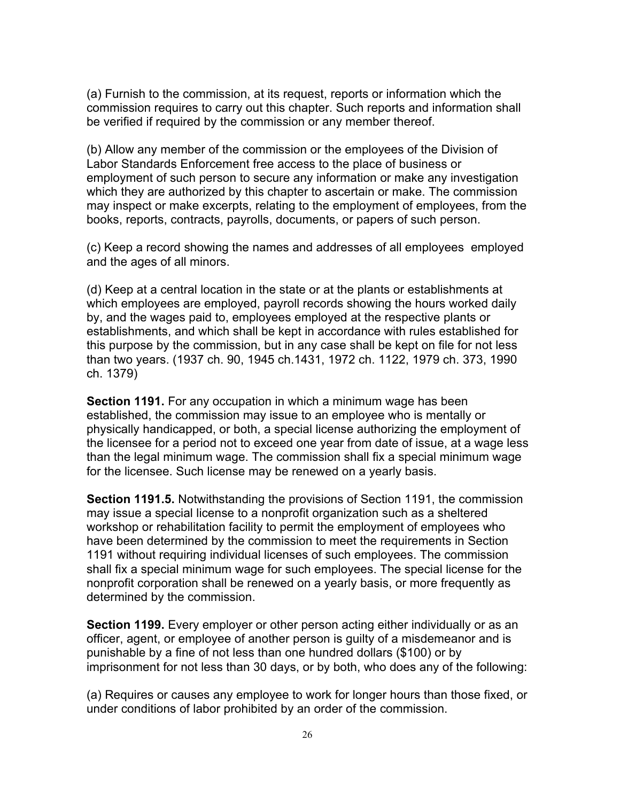(a) Furnish to the commission, at its request, reports or information which the commission requires to carry out this chapter. Such reports and information shall be verified if required by the commission or any member thereof.

(b) Allow any member of the commission or the employees of the Division of Labor Standards Enforcement free access to the place of business or employment of such person to secure any information or make any investigation which they are authorized by this chapter to ascertain or make. The commission may inspect or make excerpts, relating to the employment of employees, from the books, reports, contracts, payrolls, documents, or papers of such person.

(c) Keep a record showing the names and addresses of all employees employed and the ages of all minors.

(d) Keep at a central location in the state or at the plants or establishments at which employees are employed, payroll records showing the hours worked daily by, and the wages paid to, employees employed at the respective plants or establishments, and which shall be kept in accordance with rules established for this purpose by the commission, but in any case shall be kept on file for not less than two years. (1937 ch. 90, 1945 ch.1431, 1972 ch. 1122, 1979 ch. 373, 1990 ch. 1379)

**Section 1191.** For any occupation in which a minimum wage has been established, the commission may issue to an employee who is mentally or physically handicapped, or both, a special license authorizing the employment of the licensee for a period not to exceed one year from date of issue, at a wage less than the legal minimum wage. The commission shall fix a special minimum wage for the licensee. Such license may be renewed on a yearly basis.

**Section 1191.5.** Notwithstanding the provisions of Section 1191, the commission may issue a special license to a nonprofit organization such as a sheltered workshop or rehabilitation facility to permit the employment of employees who have been determined by the commission to meet the requirements in Section 1191 without requiring individual licenses of such employees. The commission shall fix a special minimum wage for such employees. The special license for the nonprofit corporation shall be renewed on a yearly basis, or more frequently as determined by the commission.

**Section 1199.** Every employer or other person acting either individually or as an officer, agent, or employee of another person is guilty of a misdemeanor and is punishable by a fine of not less than one hundred dollars (\$100) or by imprisonment for not less than 30 days, or by both, who does any of the following:

(a) Requires or causes any employee to work for longer hours than those fixed, or under conditions of labor prohibited by an order of the commission.